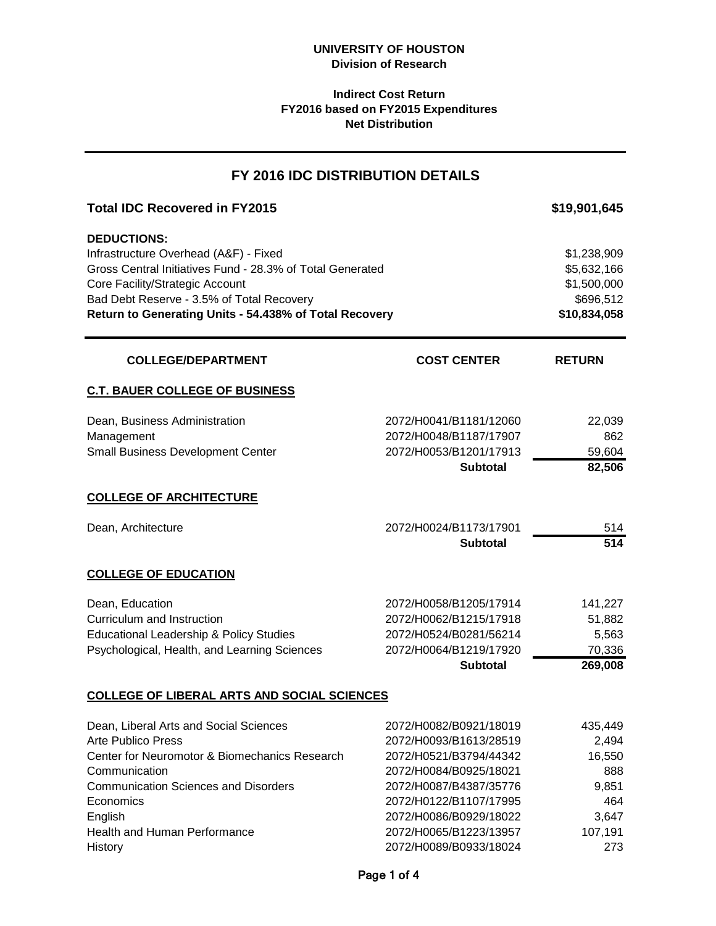## **Indirect Cost Return FY2016 based on FY2015 Expenditures Net Distribution**

# **Total IDC Recovered in FY2015 10.889 10.889 10.889 10.889 10.889 10.889 10.889 10.889 10.889 10.889 10.889 10.889 10.889 10.889 10.889 10.889 10.889 10.889 10.889 10.889 10.889 10.889 10.889 10.889 10.889 10.889 10.889 DEDUCTIONS:** Infrastructure Overhead (A&F) - Fixed \$1,238,909 \$1,238,909 Gross Central Initiatives Fund - 28.3% of Total Generated \$5,632,166 Core Facility/Strategic Account  $$1,500,000$ Bad Debt Reserve - 3.5% of Total Recovery **\$696,512 \$696,512 Return to Generating Units - 54.438% of Total Recovery <b>\$10,834,058** \$10,834,058 **RETURN C.T. BAUER COLLEGE OF BUSINESS** Dean, Business Administration 2072/H0041/B1181/12060 22,039 Management 2072/H0048/B1187/17907 862 Small Business Development Center 2072/H0053/B1201/17913 59,604 **Subtotal 82,506 COLLEGE OF ARCHITECTURE** Dean, Architecture 2072/H0024/B1173/17901 514 **Subtotal 514 COLLEGE OF EDUCATION** Dean, Education 2072/H0058/B1205/17914 141,227 Curriculum and Instruction 2072/H0062/B1215/17918 51,882 Educational Leadership & Policy Studies 2072/H0524/B0281/56214 5,563 Psychological, Health, and Learning Sciences 2072/H0064/B1219/17920 70,336 **Subtotal 269,008 COLLEGE OF LIBERAL ARTS AND SOCIAL SCIENCES** Dean, Liberal Arts and Social Sciences 2072/H0082/B0921/18019 435,449 Arte Publico Press 2072/H0093/B1613/28519 2,494 Center for Neuromotor & Biomechanics Research 2072/H0521/B3794/44342 16,550 Communication 2072/H0084/B0925/18021 888 Communication Sciences and Disorders 2072/H0087/B4387/35776 9,851 Economics 2072/H0122/B1107/17995 464 English 2072/H0086/B0929/18022 3,647 Health and Human Performance 2072/H0065/B1223/13957 107,191 **FY 2016 IDC DISTRIBUTION DETAILS COLLEGE/DEPARTMENT COST CENTER**

History 2072/H0089/B0933/18024 273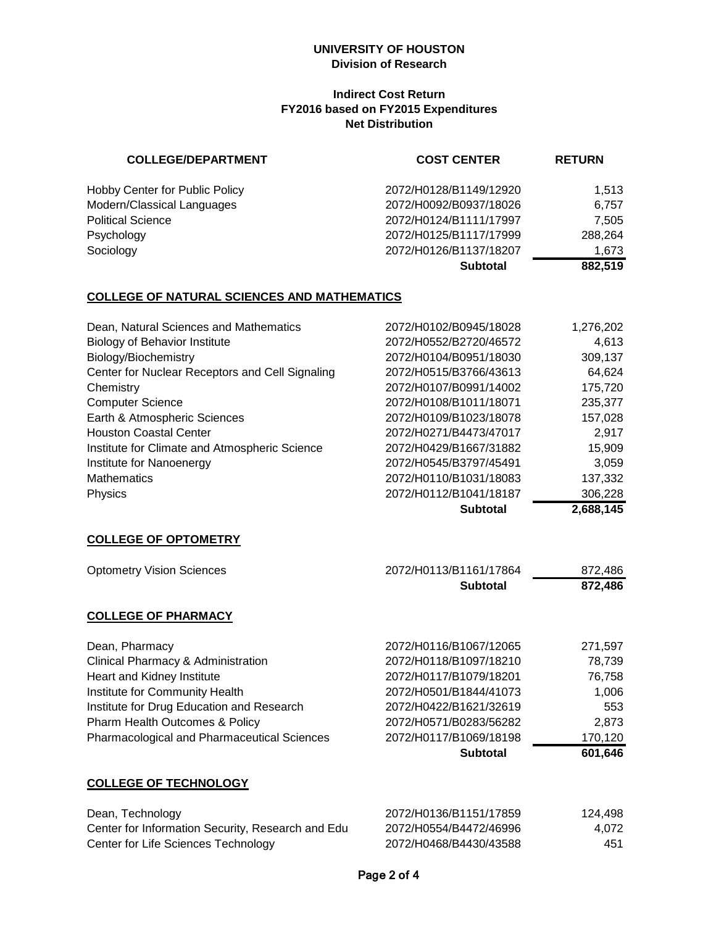#### **UNIVERSITY OF HOUSTON Division of Research**

#### **Indirect Cost Return FY2016 based on FY2015 Expenditures Net Distribution**

| <b>COLLEGE/DEPARTMENT</b>             | <b>COST CENTER</b>     | <b>RETURN</b> |
|---------------------------------------|------------------------|---------------|
| <b>Hobby Center for Public Policy</b> | 2072/H0128/B1149/12920 | 1.513         |
| Modern/Classical Languages            | 2072/H0092/B0937/18026 | 6.757         |
| <b>Political Science</b>              | 2072/H0124/B1111/17997 | 7,505         |
| Psychology                            | 2072/H0125/B1117/17999 | 288,264       |
| Sociology                             | 2072/H0126/B1137/18207 | 1,673         |
|                                       | <b>Subtotal</b>        | 882,519       |

# **COLLEGE OF NATURAL SCIENCES AND MATHEMATICS**

| Dean, Natural Sciences and Mathematics          | 2072/H0102/B0945/18028 | 1,276,202 |
|-------------------------------------------------|------------------------|-----------|
| <b>Biology of Behavior Institute</b>            | 2072/H0552/B2720/46572 | 4,613     |
| Biology/Biochemistry                            | 2072/H0104/B0951/18030 | 309,137   |
| Center for Nuclear Receptors and Cell Signaling | 2072/H0515/B3766/43613 | 64.624    |
| Chemistry                                       | 2072/H0107/B0991/14002 | 175,720   |
| <b>Computer Science</b>                         | 2072/H0108/B1011/18071 | 235,377   |
| Earth & Atmospheric Sciences                    | 2072/H0109/B1023/18078 | 157,028   |
| <b>Houston Coastal Center</b>                   | 2072/H0271/B4473/47017 | 2,917     |
| Institute for Climate and Atmospheric Science   | 2072/H0429/B1667/31882 | 15,909    |
| Institute for Nanoenergy                        | 2072/H0545/B3797/45491 | 3,059     |
| <b>Mathematics</b>                              | 2072/H0110/B1031/18083 | 137,332   |
| Physics                                         | 2072/H0112/B1041/18187 | 306,228   |
|                                                 |                        | --- - - - |

**Subtotal 2,688,145**

# **COLLEGE OF OPTOMETRY**

| <b>Optometry Vision Sciences</b>            | 2072/H0113/B1161/17864 | 872,486 |
|---------------------------------------------|------------------------|---------|
|                                             | <b>Subtotal</b>        | 872,486 |
| <b>COLLEGE OF PHARMACY</b>                  |                        |         |
| Dean, Pharmacy                              | 2072/H0116/B1067/12065 | 271,597 |
| Clinical Pharmacy & Administration          | 2072/H0118/B1097/18210 | 78,739  |
| Heart and Kidney Institute                  | 2072/H0117/B1079/18201 | 76,758  |
| Institute for Community Health              | 2072/H0501/B1844/41073 | 1,006   |
| Institute for Drug Education and Research   | 2072/H0422/B1621/32619 | 553     |
| Pharm Health Outcomes & Policy              | 2072/H0571/B0283/56282 | 2,873   |
| Pharmacological and Pharmaceutical Sciences | 2072/H0117/B1069/18198 | 170,120 |
|                                             | <b>Subtotal</b>        | 601,646 |

#### **COLLEGE OF TECHNOLOGY**

| Dean, Technology                                  | 2072/H0136/B1151/17859 | 124,498 |
|---------------------------------------------------|------------------------|---------|
| Center for Information Security, Research and Edu | 2072/H0554/B4472/46996 | 4.072   |
| Center for Life Sciences Technology               | 2072/H0468/B4430/43588 | 451     |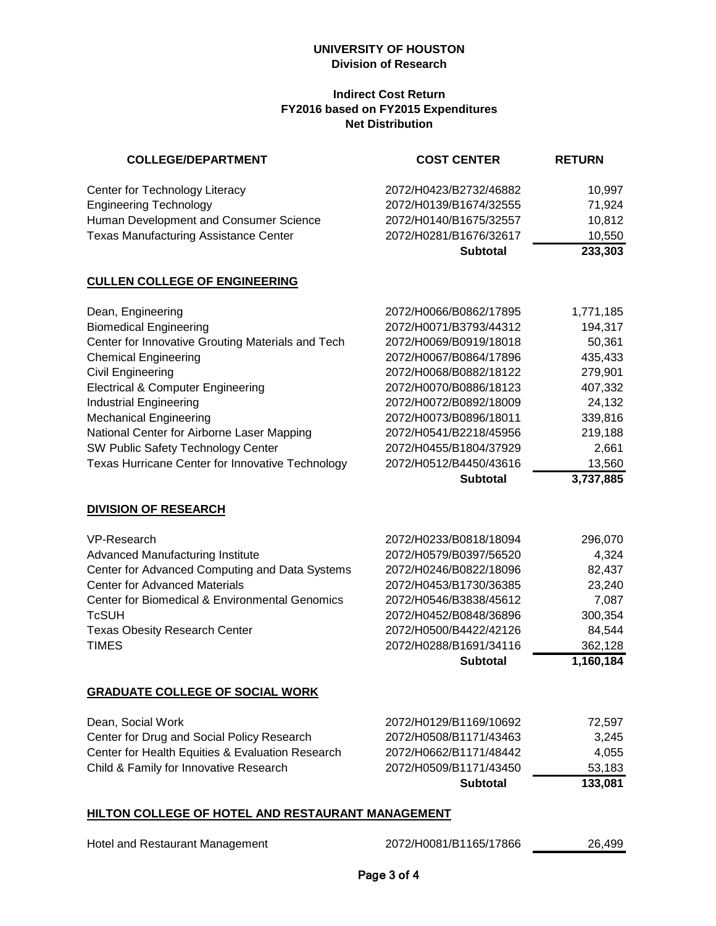#### **UNIVERSITY OF HOUSTON Division of Research**

#### **Indirect Cost Return FY2016 based on FY2015 Expenditures Net Distribution**

| <b>COLLEGE/DEPARTMENT</b>                    | <b>COST CENTER</b>     | <b>RETURN</b> |
|----------------------------------------------|------------------------|---------------|
| Center for Technology Literacy               | 2072/H0423/B2732/46882 | 10.997        |
| <b>Engineering Technology</b>                | 2072/H0139/B1674/32555 | 71,924        |
| Human Development and Consumer Science       | 2072/H0140/B1675/32557 | 10,812        |
| <b>Texas Manufacturing Assistance Center</b> | 2072/H0281/B1676/32617 | 10,550        |
|                                              | <b>Subtotal</b>        | 233,303       |

#### **CULLEN COLLEGE OF ENGINEERING**

| 2072/H0073/B0896/18011<br>2072/H0541/B2218/45956<br>2072/H0455/B1804/37929<br>2072/H0512/B4450/43616 | 339,816<br>219,188<br>2,661<br>13,560                                                                                                                                              |
|------------------------------------------------------------------------------------------------------|------------------------------------------------------------------------------------------------------------------------------------------------------------------------------------|
|                                                                                                      |                                                                                                                                                                                    |
|                                                                                                      |                                                                                                                                                                                    |
|                                                                                                      |                                                                                                                                                                                    |
|                                                                                                      |                                                                                                                                                                                    |
|                                                                                                      | 24,132                                                                                                                                                                             |
|                                                                                                      | 407,332                                                                                                                                                                            |
|                                                                                                      | 279,901                                                                                                                                                                            |
|                                                                                                      | 435,433                                                                                                                                                                            |
|                                                                                                      | 50,361                                                                                                                                                                             |
|                                                                                                      | 194,317                                                                                                                                                                            |
|                                                                                                      | 1,771,185                                                                                                                                                                          |
|                                                                                                      | 2072/H0066/B0862/17895<br>2072/H0071/B3793/44312<br>2072/H0069/B0919/18018<br>2072/H0067/B0864/17896<br>2072/H0068/B0882/18122<br>2072/H0070/B0886/18123<br>2072/H0072/B0892/18009 |

#### **DIVISION OF RESEARCH**

| VP-Research                                    | 2072/H0233/B0818/18094 | 296,070   |
|------------------------------------------------|------------------------|-----------|
| Advanced Manufacturing Institute               | 2072/H0579/B0397/56520 | 4,324     |
| Center for Advanced Computing and Data Systems | 2072/H0246/B0822/18096 | 82,437    |
| <b>Center for Advanced Materials</b>           | 2072/H0453/B1730/36385 | 23,240    |
| Center for Biomedical & Environmental Genomics | 2072/H0546/B3838/45612 | 7.087     |
| <b>TcSUH</b>                                   | 2072/H0452/B0848/36896 | 300,354   |
| <b>Texas Obesity Research Center</b>           | 2072/H0500/B4422/42126 | 84,544    |
| <b>TIMES</b>                                   | 2072/H0288/B1691/34116 | 362,128   |
|                                                | <b>Subtotal</b>        | 1,160,184 |

#### **GRADUATE COLLEGE OF SOCIAL WORK**

|                                                  | <b>Subtotal</b>        | 133.081 |
|--------------------------------------------------|------------------------|---------|
| Child & Family for Innovative Research           | 2072/H0509/B1171/43450 | 53.183  |
| Center for Health Equities & Evaluation Research | 2072/H0662/B1171/48442 | 4.055   |
| Center for Drug and Social Policy Research       | 2072/H0508/B1171/43463 | 3.245   |
| Dean, Social Work                                | 2072/H0129/B1169/10692 | 72.597  |

#### **HILTON COLLEGE OF HOTEL AND RESTAURANT MANAGEMENT**

|  |  | Hotel and Restaurant Management |
|--|--|---------------------------------|
|--|--|---------------------------------|

| Hotel and Restaurant Management | 2072/H0081/B1165/17866 | 26,499 |
|---------------------------------|------------------------|--------|
|---------------------------------|------------------------|--------|